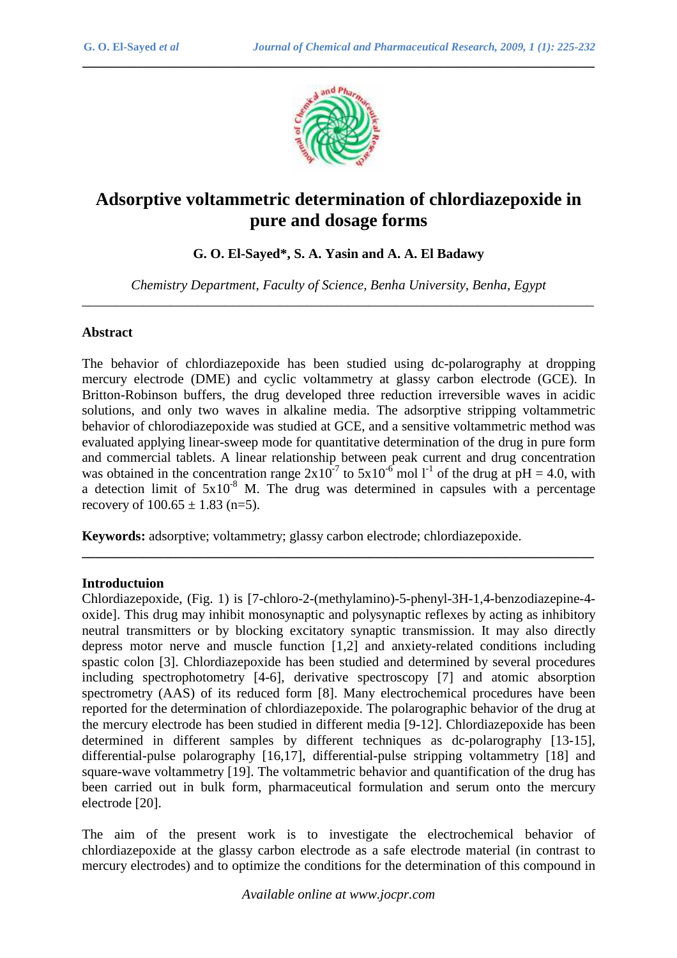

*\_\_\_\_\_\_\_\_\_\_\_\_\_\_\_\_\_\_\_\_\_\_\_\_\_\_\_\_\_\_\_\_\_\_\_\_\_\_\_\_\_\_\_\_\_\_\_\_\_\_\_\_\_\_\_\_\_\_\_\_\_\_\_\_\_\_\_\_\_\_\_\_\_\_\_*

# **Adsorptive voltammetric determination of chlordiazepoxide in pure and dosage forms**

**G. O. El-Sayed\*, S. A. Yasin and A. A. El Badawy** 

*Chemistry Department, Faculty of Science, Benha University, Benha, Egypt*  \_\_\_\_\_\_\_\_\_\_\_\_\_\_\_\_\_\_\_\_\_\_\_\_\_\_\_\_\_\_\_\_\_\_\_\_\_\_\_\_\_\_\_\_\_\_\_\_\_\_\_\_\_\_\_\_\_\_\_\_\_\_\_\_\_\_\_\_\_\_\_\_\_\_\_

#### **Abstract**

The behavior of chlordiazepoxide has been studied using dc-polarography at dropping mercury electrode (DME) and cyclic voltammetry at glassy carbon electrode (GCE). In Britton-Robinson buffers, the drug developed three reduction irreversible waves in acidic solutions, and only two waves in alkaline media. The adsorptive stripping voltammetric behavior of chlorodiazepoxide was studied at GCE, and a sensitive voltammetric method was evaluated applying linear-sweep mode for quantitative determination of the drug in pure form and commercial tablets. A linear relationship between peak current and drug concentration was obtained in the concentration range  $2x10^{-7}$  to  $5x10^{-6}$  mol l<sup>-1</sup> of the drug at pH = 4.0, with a detection limit of  $5x10^{-8}$  M. The drug was determined in capsules with a percentage recovery of  $100.65 \pm 1.83$  (n=5).

**\_\_\_\_\_\_\_\_\_\_\_\_\_\_\_\_\_\_\_\_\_\_\_\_\_\_\_\_\_\_\_\_\_\_\_\_\_\_\_\_\_\_\_\_\_\_\_\_\_\_\_\_\_\_\_\_\_\_\_\_\_\_\_\_\_\_\_\_\_\_\_\_\_\_\_** 

**Keywords:** adsorptive; voltammetry; glassy carbon electrode; chlordiazepoxide.

#### **Introductuion**

Chlordiazepoxide, (Fig. 1) is [7-chloro-2-(methylamino)-5-phenyl-3H-1,4-benzodiazepine-4 oxide]. This drug may inhibit monosynaptic and polysynaptic reflexes by acting as inhibitory neutral transmitters or by blocking excitatory synaptic transmission. It may also directly depress motor nerve and muscle function [1,2] and anxiety-related conditions including spastic colon [3]. Chlordiazepoxide has been studied and determined by several procedures including spectrophotometry [4-6], derivative spectroscopy [7] and atomic absorption spectrometry (AAS) of its reduced form [8]. Many electrochemical procedures have been reported for the determination of chlordiazepoxide. The polarographic behavior of the drug at the mercury electrode has been studied in different media [9-12]. Chlordiazepoxide has been determined in different samples by different techniques as dc-polarography [13-15], differential-pulse polarography [16,17], differential-pulse stripping voltammetry [18] and square-wave voltammetry [19]. The voltammetric behavior and quantification of the drug has been carried out in bulk form, pharmaceutical formulation and serum onto the mercury electrode [20].

The aim of the present work is to investigate the electrochemical behavior of chlordiazepoxide at the glassy carbon electrode as a safe electrode material (in contrast to mercury electrodes) and to optimize the conditions for the determination of this compound in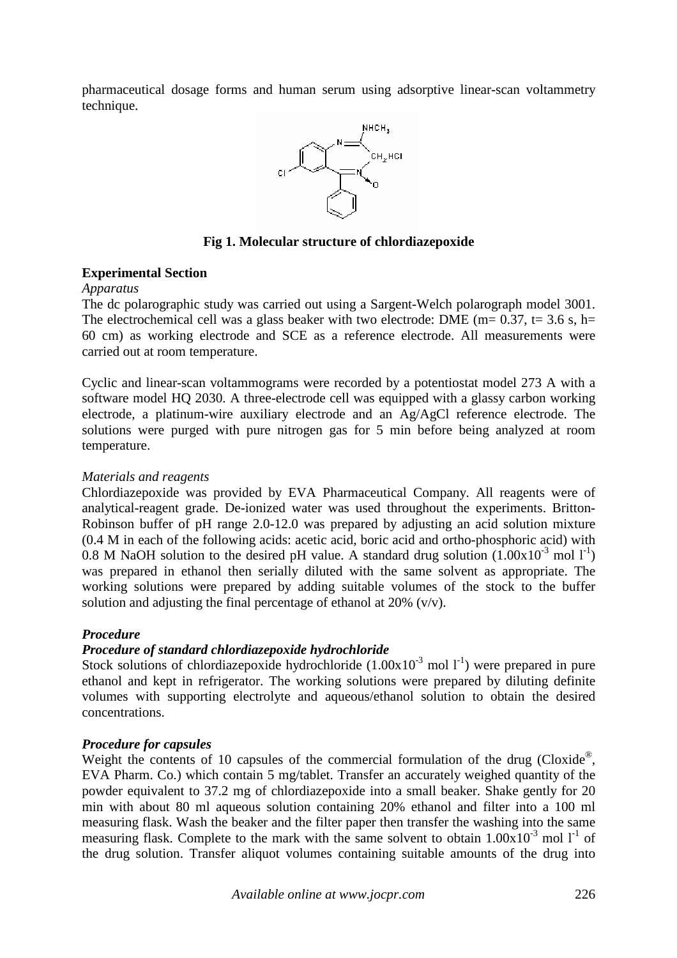pharmaceutical dosage forms and human serum using adsorptive linear-scan voltammetry technique.



## **Fig 1. Molecular structure of chlordiazepoxide**

## **Experimental Section**

#### *Apparatus*

The dc polarographic study was carried out using a Sargent-Welch polarograph model 3001. The electrochemical cell was a glass beaker with two electrode: DME ( $m= 0.37$ ,  $t= 3.6$  s,  $h=$ 60 cm) as working electrode and SCE as a reference electrode. All measurements were carried out at room temperature.

Cyclic and linear-scan voltammograms were recorded by a potentiostat model 273 A with a software model HQ 2030. A three-electrode cell was equipped with a glassy carbon working electrode, a platinum-wire auxiliary electrode and an Ag/AgCl reference electrode. The solutions were purged with pure nitrogen gas for 5 min before being analyzed at room temperature.

## *Materials and reagents*

Chlordiazepoxide was provided by EVA Pharmaceutical Company. All reagents were of analytical-reagent grade. De-ionized water was used throughout the experiments. Britton-Robinson buffer of pH range 2.0-12.0 was prepared by adjusting an acid solution mixture (0.4 M in each of the following acids: acetic acid, boric acid and ortho-phosphoric acid) with 0.8 M NaOH solution to the desired pH value. A standard drug solution  $(1.00 \times 10^{-3} \text{ mol } l^{-1})$ was prepared in ethanol then serially diluted with the same solvent as appropriate. The working solutions were prepared by adding suitable volumes of the stock to the buffer solution and adjusting the final percentage of ethanol at  $20\%$  (v/v).

# *Procedure*

# *Procedure of standard chlordiazepoxide hydrochloride*

Stock solutions of chlordiazepoxide hydrochloride  $(1.00x10^{-3} \text{ mol } l^{-1})$  were prepared in pure ethanol and kept in refrigerator. The working solutions were prepared by diluting definite volumes with supporting electrolyte and aqueous/ethanol solution to obtain the desired concentrations.

## *Procedure for capsules*

Weight the contents of 10 capsules of the commercial formulation of the drug (Cloxide®, EVA Pharm. Co.) which contain 5 mg/tablet. Transfer an accurately weighed quantity of the powder equivalent to 37.2 mg of chlordiazepoxide into a small beaker. Shake gently for 20 min with about 80 ml aqueous solution containing 20% ethanol and filter into a 100 ml measuring flask. Wash the beaker and the filter paper then transfer the washing into the same measuring flask. Complete to the mark with the same solvent to obtain  $1.00x10^{-3}$  mol  $1^{-1}$  of the drug solution. Transfer aliquot volumes containing suitable amounts of the drug into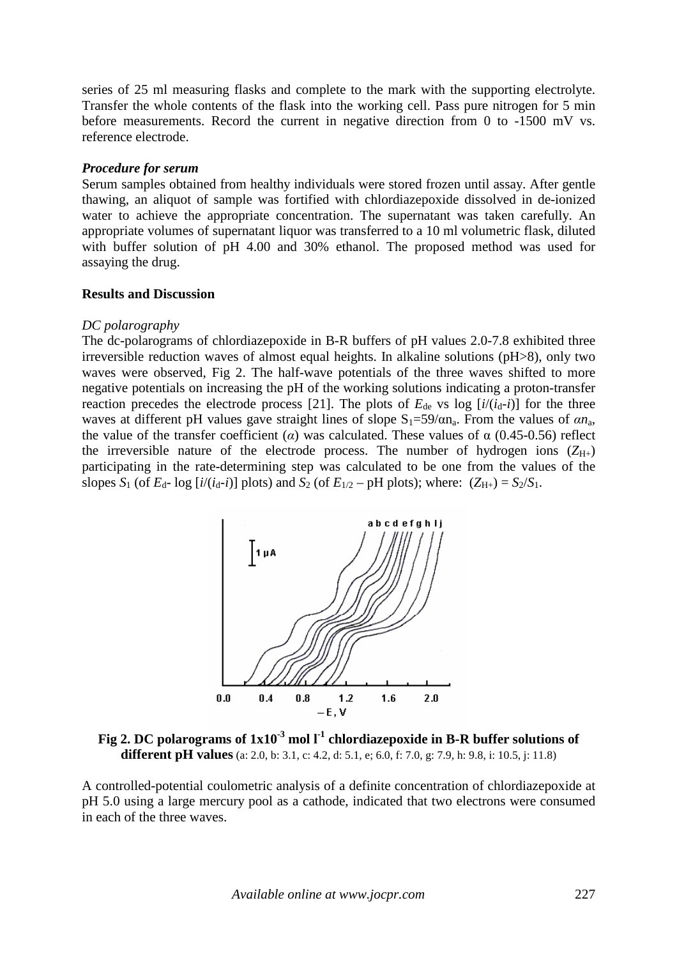series of 25 ml measuring flasks and complete to the mark with the supporting electrolyte. Transfer the whole contents of the flask into the working cell. Pass pure nitrogen for 5 min before measurements. Record the current in negative direction from 0 to -1500 mV vs. reference electrode.

## *Procedure for serum*

Serum samples obtained from healthy individuals were stored frozen until assay. After gentle thawing, an aliquot of sample was fortified with chlordiazepoxide dissolved in de-ionized water to achieve the appropriate concentration. The supernatant was taken carefully. An appropriate volumes of supernatant liquor was transferred to a 10 ml volumetric flask, diluted with buffer solution of pH 4.00 and 30% ethanol. The proposed method was used for assaying the drug.

#### **Results and Discussion**

#### *DC polarography*

The dc-polarograms of chlordiazepoxide in B-R buffers of pH values 2.0-7.8 exhibited three irreversible reduction waves of almost equal heights. In alkaline solutions (pH>8), only two waves were observed, Fig 2. The half-wave potentials of the three waves shifted to more negative potentials on increasing the pH of the working solutions indicating a proton-transfer reaction precedes the electrode process [21]. The plots of  $E_{de}$  vs log  $[i/(i_d-i)]$  for the three waves at different pH values gave straight lines of slope  $S_1=59/\alpha n_a$ . From the values of  $\alpha n_a$ , the value of the transfer coefficient (*α*) was calculated. These values of  $\alpha$  (0.45-0.56) reflect the irreversible nature of the electrode process. The number of hydrogen ions  $(Z_{H+})$ participating in the rate-determining step was calculated to be one from the values of the slopes  $S_1$  (of  $E_d$ - log  $[i/(i_d-i)]$  plots) and  $S_2$  (of  $E_{1/2}$  – pH plots); where:  $(Z_{H+}) = S_2/S_1$ .



**Fig 2. DC polarograms of 1x10-3 mol l-1 chlordiazepoxide in B-R buffer solutions of different pH values** (a: 2.0, b: 3.1, c: 4.2, d: 5.1, e; 6.0, f: 7.0, g: 7.9, h: 9.8, i: 10.5, j: 11.8)

A controlled-potential coulometric analysis of a definite concentration of chlordiazepoxide at pH 5.0 using a large mercury pool as a cathode, indicated that two electrons were consumed in each of the three waves.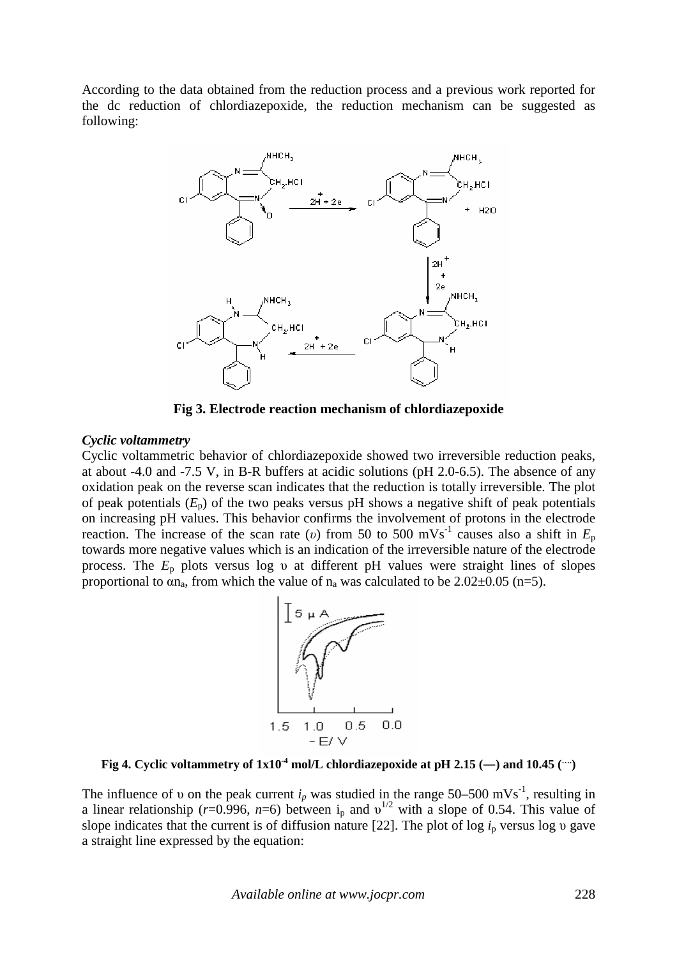According to the data obtained from the reduction process and a previous work reported for the dc reduction of chlordiazepoxide, the reduction mechanism can be suggested as following:



**Fig 3. Electrode reaction mechanism of chlordiazepoxide** 

#### *Cyclic voltammetry*

Cyclic voltammetric behavior of chlordiazepoxide showed two irreversible reduction peaks, at about -4.0 and -7.5 V, in B-R buffers at acidic solutions (pH 2.0-6.5). The absence of any oxidation peak on the reverse scan indicates that the reduction is totally irreversible. The plot of peak potentials  $(E_p)$  of the two peaks versus pH shows a negative shift of peak potentials on increasing pH values. This behavior confirms the involvement of protons in the electrode reaction. The increase of the scan rate (*v*) from 50 to 500 mVs<sup>-1</sup> causes also a shift in  $E_p$ towards more negative values which is an indication of the irreversible nature of the electrode process. The  $E_p$  plots versus log v at different pH values were straight lines of slopes proportional to  $\alpha n_a$ , from which the value of  $n_a$  was calculated to be 2.02 $\pm$ 0.05 (n=5).



**Fig 4. Cyclic voltammetry of**  $1x10^4$  **mol/L chlordiazepoxide at pH 2.15 (-) and 10.45 (** $\cdots$ **)** 

The influence of v on the peak current  $i_p$  was studied in the range 50–500 mVs<sup>-1</sup>, resulting in a linear relationship ( $r=0.996$ ,  $n=6$ ) between i<sub>p</sub> and  $v^{1/2}$  with a slope of 0.54. This value of slope indicates that the current is of diffusion nature [22]. The plot of log  $i<sub>p</sub>$  versus log v gave a straight line expressed by the equation: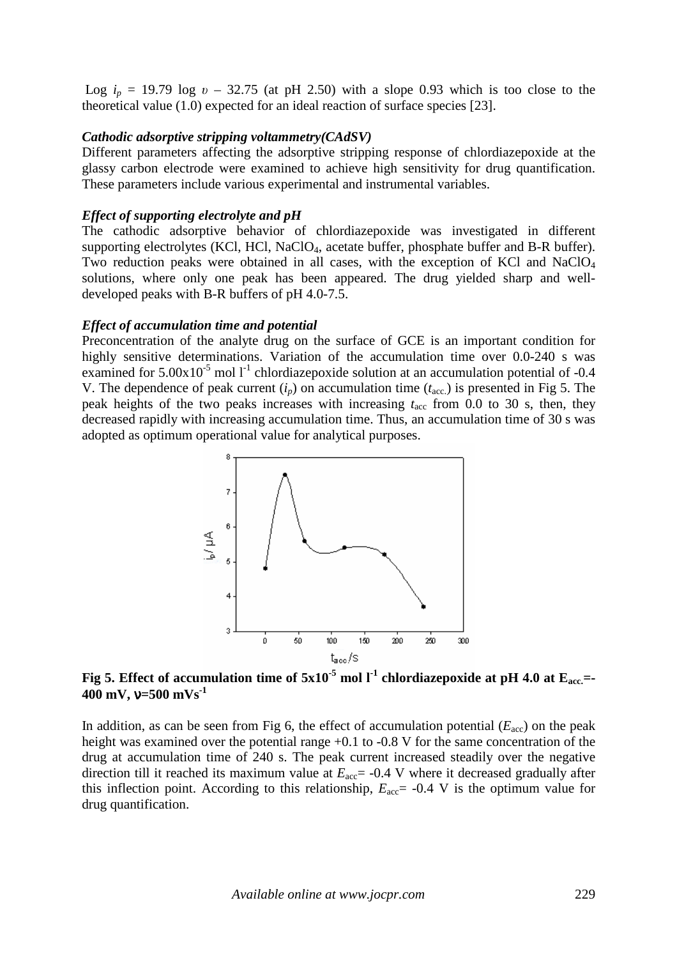Log  $i_p = 19.79$  log  $v - 32.75$  (at pH 2.50) with a slope 0.93 which is too close to the theoretical value (1.0) expected for an ideal reaction of surface species [23].

#### *Cathodic adsorptive stripping voltammetry(CAdSV)*

Different parameters affecting the adsorptive stripping response of chlordiazepoxide at the glassy carbon electrode were examined to achieve high sensitivity for drug quantification. These parameters include various experimental and instrumental variables.

#### *Effect of supporting electrolyte and pH*

The cathodic adsorptive behavior of chlordiazepoxide was investigated in different supporting electrolytes (KCl, HCl, NaClO<sub>4</sub>, acetate buffer, phosphate buffer and B-R buffer). Two reduction peaks were obtained in all cases, with the exception of KCl and NaClO<sub>4</sub> solutions, where only one peak has been appeared. The drug yielded sharp and welldeveloped peaks with B-R buffers of pH 4.0-7.5.

#### *Effect of accumulation time and potential*

Preconcentration of the analyte drug on the surface of GCE is an important condition for highly sensitive determinations. Variation of the accumulation time over 0.0-240 s was examined for  $5.00x10^{-5}$  mol l<sup>-1</sup> chlordiazepoxide solution at an accumulation potential of -0.4 V. The dependence of peak current  $(i_p)$  on accumulation time  $(t_{\text{acc}})$  is presented in Fig 5. The peak heights of the two peaks increases with increasing  $t_{\text{acc}}$  from 0.0 to 30 s, then, they decreased rapidly with increasing accumulation time. Thus, an accumulation time of 30 s was adopted as optimum operational value for analytical purposes.



**Fig 5. Effect of accumulation time of 5x10-5 mol l-1 chlordiazepoxide at pH 4.0 at Eacc.=- 400 mV,** ν**=500 mVs-1** 

In addition, as can be seen from Fig 6, the effect of accumulation potential  $(E_{\text{acc}})$  on the peak height was examined over the potential range  $+0.1$  to  $-0.8$  V for the same concentration of the drug at accumulation time of 240 s. The peak current increased steadily over the negative direction till it reached its maximum value at  $E_{\text{acc}}$  = -0.4 V where it decreased gradually after this inflection point. According to this relationship,  $E_{\text{acc}}$  = -0.4 V is the optimum value for drug quantification.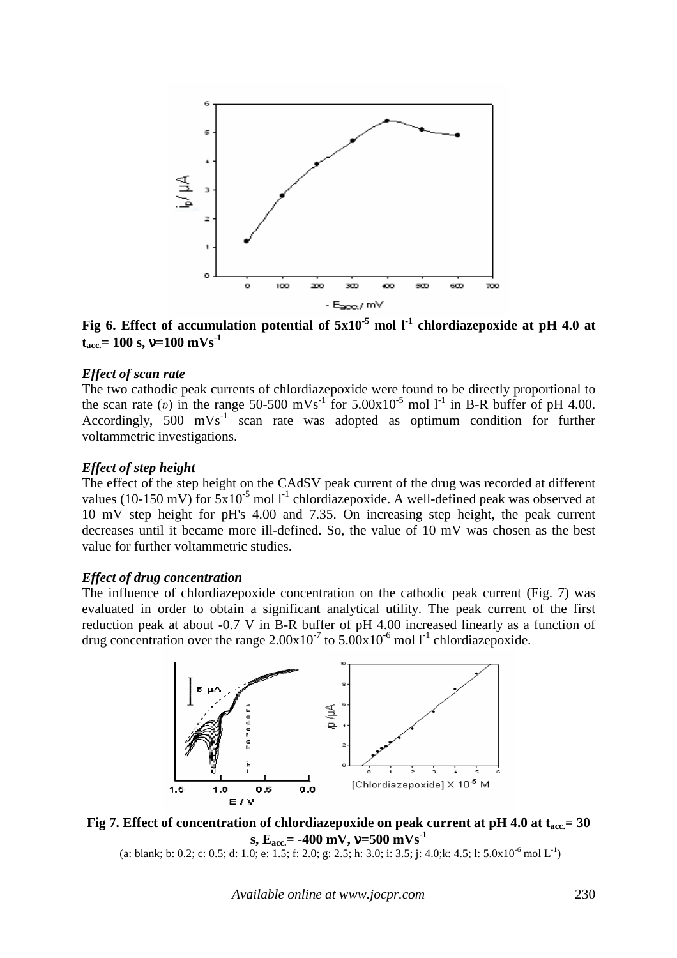

**Fig 6. Effect of accumulation potential of 5x10-5 mol l-1 chlordiazepoxide at pH 4.0 at tacc.= 100 s,** ν**=100 mVs-1** 

#### *Effect of scan rate*

The two cathodic peak currents of chlordiazepoxide were found to be directly proportional to the scan rate (*v*) in the range 50-500 mVs<sup>-1</sup> for 5.00x10<sup>-5</sup> mol l<sup>-1</sup> in B-R buffer of pH 4.00. Accordingly,  $500$  mVs<sup>-1</sup> scan rate was adopted as optimum condition for further voltammetric investigations.

#### *Effect of step height*

The effect of the step height on the CAdSV peak current of the drug was recorded at different values (10-150 mV) for  $5x10^{-5}$  mol l<sup>-1</sup> chlordiazepoxide. A well-defined peak was observed at 10 mV step height for pH's 4.00 and 7.35. On increasing step height, the peak current decreases until it became more ill-defined. So, the value of 10 mV was chosen as the best value for further voltammetric studies.

#### *Effect of drug concentration*

The influence of chlordiazepoxide concentration on the cathodic peak current (Fig. 7) was evaluated in order to obtain a significant analytical utility. The peak current of the first reduction peak at about -0.7 V in B-R buffer of pH 4.00 increased linearly as a function of drug concentration over the range  $2.00 \times 10^{-7}$  to  $5.00 \times 10^{-6}$  mol l<sup>-1</sup> chlordiazepoxide.



**Fig 7. Effect of concentration of chlordiazepoxide on peak current at pH 4.0 at tacc.= 30**   $\mathbf{s}$ ,  $\mathbf{E}_{\text{acc}} = -400 \text{ mV}$ ,  $\mathbf{v} = 500 \text{ mVs}^{-1}$ 

(a: blank; b: 0.2; c: 0.5; d: 1.0; e: 1.5; f: 2.0; g: 2.5; h: 3.0; i: 3.5; j: 4.0;k: 4.5; l:  $5.0x10^{-6}$  mol L<sup>-1</sup>)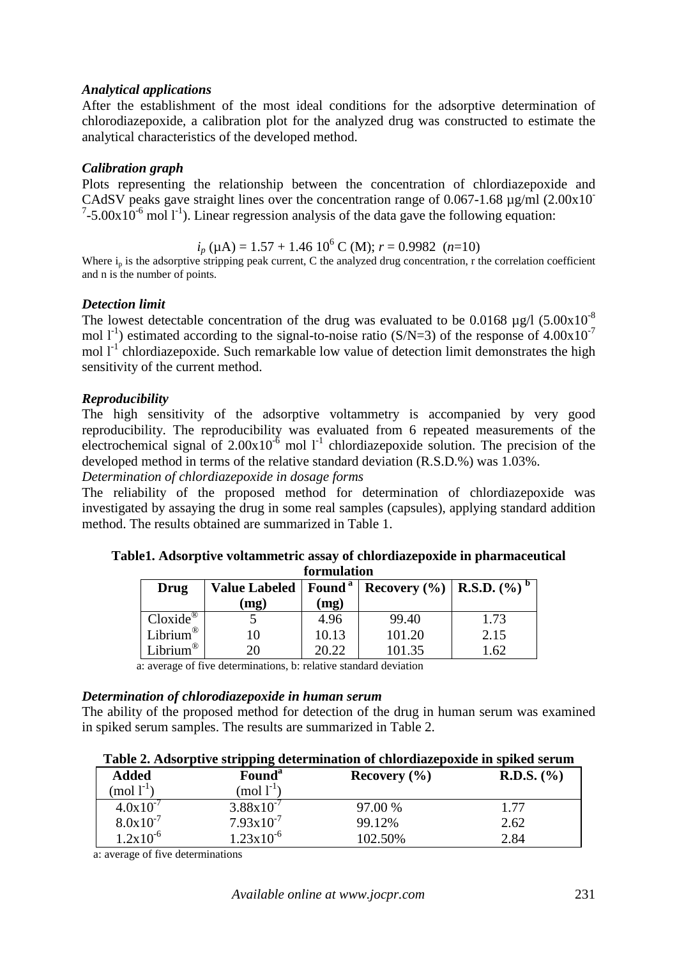## *Analytical applications*

After the establishment of the most ideal conditions for the adsorptive determination of chlorodiazepoxide, a calibration plot for the analyzed drug was constructed to estimate the analytical characteristics of the developed method.

# *Calibration graph*

Plots representing the relationship between the concentration of chlordiazepoxide and CAdSV peaks gave straight lines over the concentration range of  $0.067$ -1.68  $\mu$ g/ml (2.00x10<sup>-</sup>  $7-5.00 \times 10^{-6}$  mol  $1^{-1}$ ). Linear regression analysis of the data gave the following equation:

 $i_p$  ( $\mu$ A) = 1.57 + 1.46 10<sup>6</sup> C (M); *r* = 0.9982 (*n*=10)

Where  $i_p$  is the adsorptive stripping peak current, C the analyzed drug concentration, r the correlation coefficient and n is the number of points.

# *Detection limit*

The lowest detectable concentration of the drug was evaluated to be 0.0168  $\mu$ g/l (5.00x10<sup>-8</sup>) mol  $1^{-1}$ ) estimated according to the signal-to-noise ratio (S/N=3) of the response of 4.00x10<sup>-7</sup> mol  $1<sup>-1</sup>$  chlordiazepoxide. Such remarkable low value of detection limit demonstrates the high sensitivity of the current method.

# *Reproducibility*

The high sensitivity of the adsorptive voltammetry is accompanied by very good reproducibility. The reproducibility was evaluated from 6 repeated measurements of the electrochemical signal of  $2.00x10^{-6}$  mol  $1^{-1}$  chlordiazepoxide solution. The precision of the developed method in terms of the relative standard deviation (R.S.D.%) was 1.03%.

*Determination of chlordiazepoxide in dosage forms* 

The reliability of the proposed method for determination of chlordiazepoxide was investigated by assaying the drug in some real samples (capsules), applying standard addition method. The results obtained are summarized in Table 1.

## **Table1. Adsorptive voltammetric assay of chlordiazepoxide in pharmaceutical formulation**

| Drug                   | Value Labeled   Found <sup>a</sup> |       | <b>Recovery</b> $(\% )   R.S.D. (\% ) $ |      |
|------------------------|------------------------------------|-------|-----------------------------------------|------|
|                        | (mg)                               | (mg)  |                                         |      |
| $Cloxide^{\circledR}$  |                                    | 4.96  | 99.40                                   | 1.73 |
| Librium <sup>®</sup>   |                                    | 10.13 | 101.20                                  | 2.15 |
| Librium $^{\circledR}$ | 20                                 | 20.22 | 101.35                                  | .62  |

a: average of five determinations, b: relative standard deviation

## *Determination of chlorodiazepoxide in human serum*

The ability of the proposed method for detection of the drug in human serum was examined in spiked serum samples. The results are summarized in Table 2.

| <b>Added</b><br>(mol $l^{-1}$ ) | Found <sup>a</sup><br>(mol $l^{-1}$ ) | Recovery $(\% )$ | <b>R.D.S.</b> $(\% )$ |
|---------------------------------|---------------------------------------|------------------|-----------------------|
| $4.0x10^{-7}$                   | $3.88 \times 10^{-7}$                 | 97.00 %          | 1.77                  |
| $8.0x10^{-7}$                   | $7.93 \times 10^{-7}$                 | 99.12%           | 2.62                  |
| $1.2x10^{-6}$                   | $1.23 \times 10^{-6}$                 | 102.50%          | 2.84                  |

a: average of five determinations